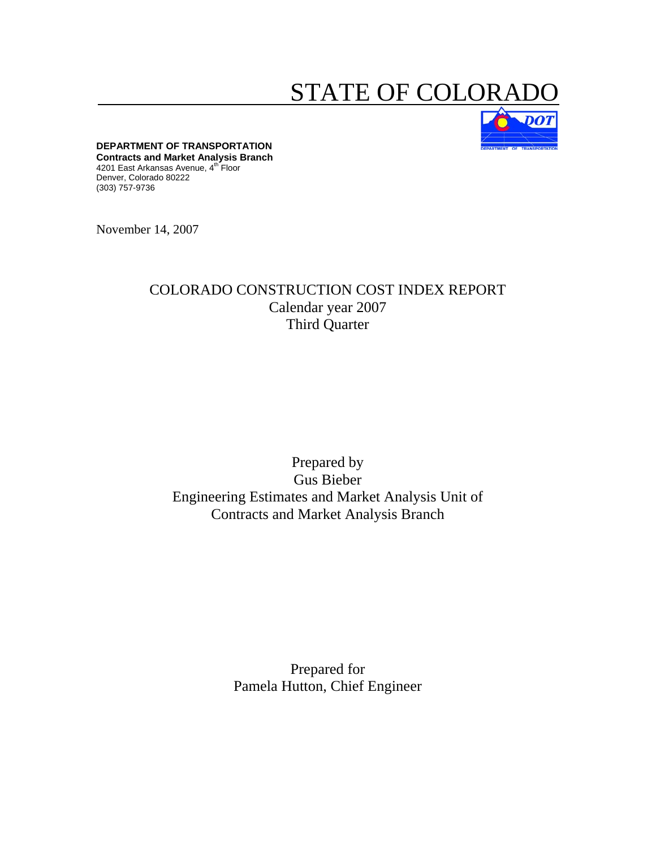# STATE OF COLORA



**DEPARTMENT OF TRANSPORTATION Contracts and Market Analysis Branch**  4201 East Arkansas Avenue, 4<sup>th</sup> Floor Denver, Colorado 80222 (303) 757-9736

November 14, 2007

### COLORADO CONSTRUCTION COST INDEX REPORT Calendar year 2007 Third Quarter

## Prepared by Gus Bieber Engineering Estimates and Market Analysis Unit of Contracts and Market Analysis Branch

Prepared for Pamela Hutton, Chief Engineer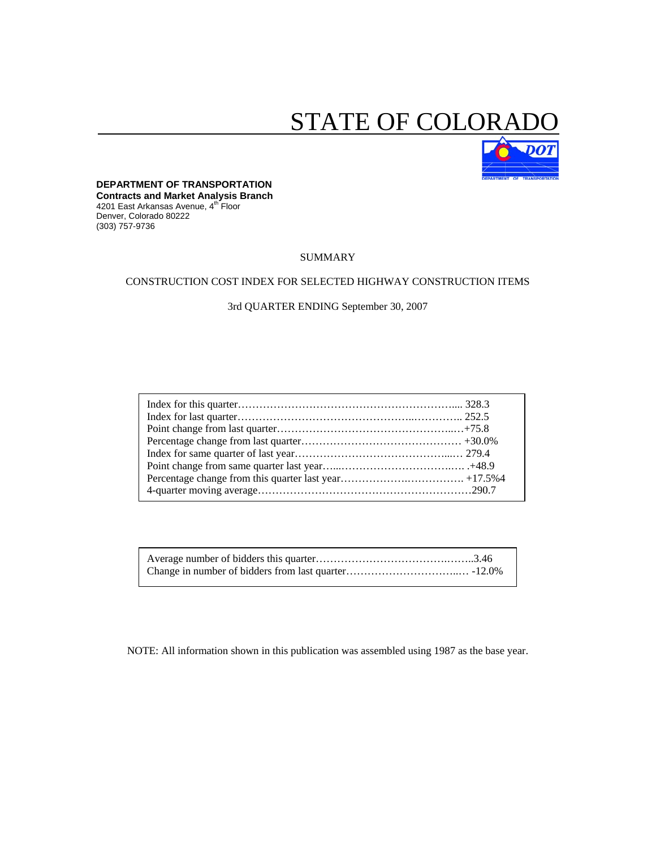# STATE OF COLORA



#### **DEPARTMENT OF TRANSPORTATION**

**Contracts and Market Analysis Branch**  4201 East Arkansas Avenue, 4th Floor Denver, Colorado 80222 (303) 757-9736

#### SUMMARY

#### CONSTRUCTION COST INDEX FOR SELECTED HIGHWAY CONSTRUCTION ITEMS

3rd QUARTER ENDING September 30, 2007

NOTE: All information shown in this publication was assembled using 1987 as the base year.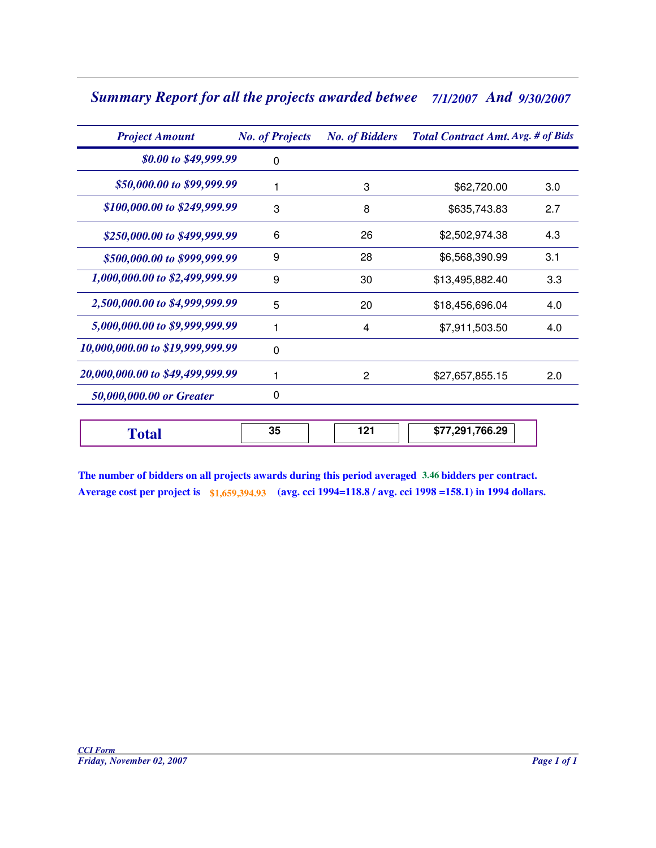# *Summary Report for all the projects awarded betwee 7/1/2007 And 9/30/2007*

| <b>Project Amount</b>            | <b>No. of Projects</b> | <b>No. of Bidders</b> | <b>Total Contract Amt. Avg. # of Bids</b> |     |  |
|----------------------------------|------------------------|-----------------------|-------------------------------------------|-----|--|
| \$0.00 to \$49,999.99            | $\mathbf{0}$           |                       |                                           |     |  |
| \$50,000.00 to \$99,999.99       |                        | 3                     | \$62,720.00                               | 3.0 |  |
| \$100,000.00 to \$249,999.99     | 3                      | 8                     | \$635,743.83                              | 2.7 |  |
| \$250,000.00 to \$499,999.99     | 6                      | 26                    | \$2,502,974.38                            | 4.3 |  |
| \$500,000.00 to \$999,999.99     | 9                      | 28                    | \$6,568,390.99                            | 3.1 |  |
| 1,000,000.00 to \$2,499,999.99   | 9                      | 30                    | \$13,495,882.40                           | 3.3 |  |
| 2,500,000.00 to \$4,999,999.99   | 5                      | 20                    | \$18,456,696.04                           | 4.0 |  |
| 5,000,000.00 to \$9,999,999.99   |                        | 4                     | \$7,911,503.50                            | 4.0 |  |
| 10,000,000.00 to \$19,999,999.99 | $\Omega$               |                       |                                           |     |  |
| 20,000,000.00 to \$49,499,999.99 |                        | 2                     | \$27,657,855.15                           | 2.0 |  |
| 50,000,000.00 or Greater         | 0                      |                       |                                           |     |  |
| <b>Total</b>                     | 35                     | 121                   | \$77,291,766.29                           |     |  |

**The number of bidders on all projects awards during this period averaged 3.46 bidders per contract. Average cost per project is \$1,659,394.93 (avg. cci 1994=118.8 / avg. cci 1998 =158.1) in 1994 dollars.**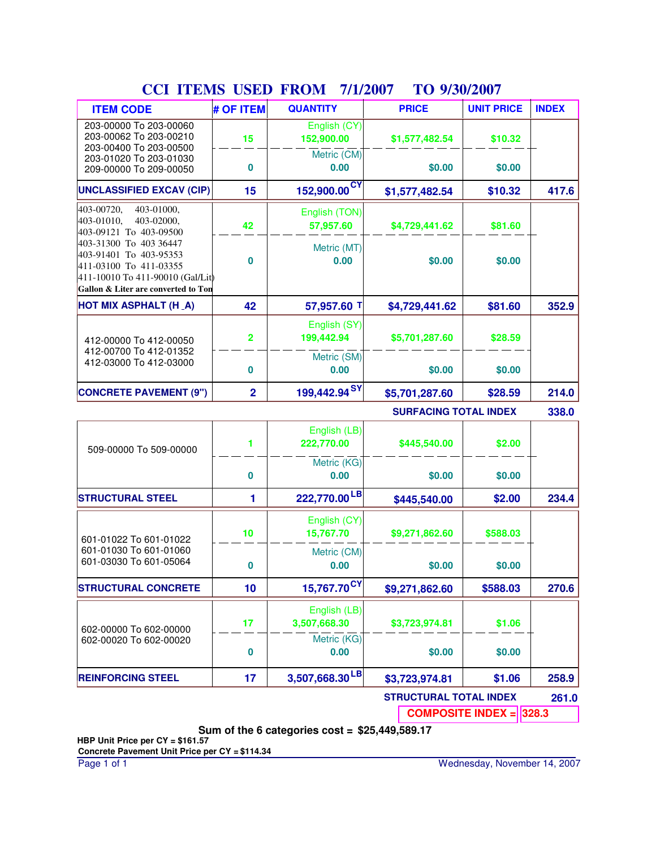| <b>ITEM CODE</b>                                                                                                                                      | # OF ITEM      | <b>QUANTITY</b>              | <b>PRICE</b>                 | <b>UNIT PRICE</b> | <b>INDEX</b> |
|-------------------------------------------------------------------------------------------------------------------------------------------------------|----------------|------------------------------|------------------------------|-------------------|--------------|
| 203-00000 To 203-00060<br>203-00062 To 203-00210<br>203-00400 To 203-00500                                                                            | 15             | English (CY)<br>152,900.00   | \$1,577,482.54               | \$10.32           |              |
| 203-01020 To 203-01030<br>209-00000 To 209-00050                                                                                                      | 0              | Metric (CM)<br>0.00          | \$0.00                       | \$0.00            |              |
| <b>UNCLASSIFIED EXCAV (CIP)</b>                                                                                                                       | 15             | 152,900.00 <sup>CY</sup>     | \$1,577,482.54               | \$10.32           | 417.6        |
| 403-00720,<br>403-01000,<br>403-02000,<br>403-01010,<br>403-09121 To 403-09500                                                                        | 42             | English (TON)<br>57,957.60   | \$4,729,441.62               | \$81.60           |              |
| 403-31300 To 403 36447<br>403-91401 To 403-95353<br>411-03100 To 411-03355<br>411-10010 To 411-90010 (Gal/Lit)<br>Gallon & Liter are converted to Ton | 0              | Metric (MT)<br>0.00          | \$0.00                       | \$0.00            |              |
| <b>HOT MIX ASPHALT (H_A)</b>                                                                                                                          | 42             | 57,957.60 T                  | \$4,729,441.62               | \$81.60           | 352.9        |
| 412-00000 To 412-00050                                                                                                                                | $\overline{2}$ | English (SY)<br>199,442.94   | \$5,701,287.60               | \$28.59           |              |
| 412-00700 To 412-01352<br>412-03000 To 412-03000                                                                                                      | 0              | Metric (SM)<br>0.00          | \$0.00                       | \$0.00            |              |
| <b>CONCRETE PAVEMENT (9")</b>                                                                                                                         | $\overline{2}$ | 199,442.94 <sup>SY</sup>     | \$5,701,287.60               | \$28.59           | 214.0        |
|                                                                                                                                                       |                |                              | <b>SURFACING TOTAL INDEX</b> |                   | 338.0        |
| 509-00000 To 509-00000                                                                                                                                | 1              | English (LB)<br>222,770.00   | \$445,540.00                 | \$2.00            |              |
|                                                                                                                                                       | 0              | Metric (KG)<br>0.00          | \$0.00                       | \$0.00            |              |
| <b>STRUCTURAL STEEL</b>                                                                                                                               | 1              | 222,770.00 <sup>LB</sup>     | \$445,540.00                 | \$2.00            | 234.4        |
| 601-01022 To 601-01022                                                                                                                                | 10             | English (CY)<br>15.767.70    | \$9,271,862.60               | \$588.03          |              |
| 601-01030 To 601-01060<br>601-03030 To 601-05064                                                                                                      | 0              | Metric (CM)<br>0.00          | \$0.00                       | \$0.00            |              |
| <b>STRUCTURAL CONCRETE</b>                                                                                                                            | 10             | $15,767.70^{\text{CY}}$      | \$9,271,862.60               | \$588.03          | 270.6        |
| 602-00000 To 602-00000                                                                                                                                | 17             | English (LB)<br>3,507,668.30 | \$3,723,974.81               | \$1.06            |              |
| 602-00020 To 602-00020                                                                                                                                |                | Metric (KG)                  |                              |                   |              |

**Sum of the 6 categories cost = \$25,449,589.17**

3,507,668.30<sup>LB</sup>

**0**

**REINFORCING STEEL 17 3,507,668.30 \$3,723,974.81**

**0.00 \$0.00**

### **CCI ITEMS USED FROM 7/1/2007 TO 9/30/2007**

**\$1.06**

**STRUCTURAL TOTAL INDEX 261.0 COMPOSITE INDEX = 328.3**

**\$0.00**

**258.9**

**HBP Unit Price per CY = \$161.57**

**Concrete Pavement Unit Price per CY = \$114.34**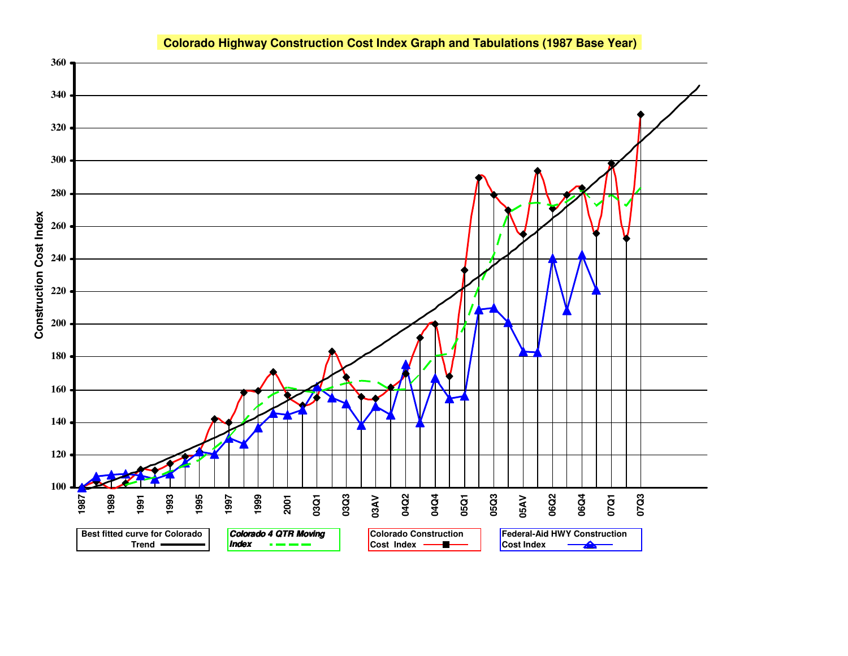#### **Colorado Highway Construction Cost Index Graph and Tabulations (1987 Base Year)**

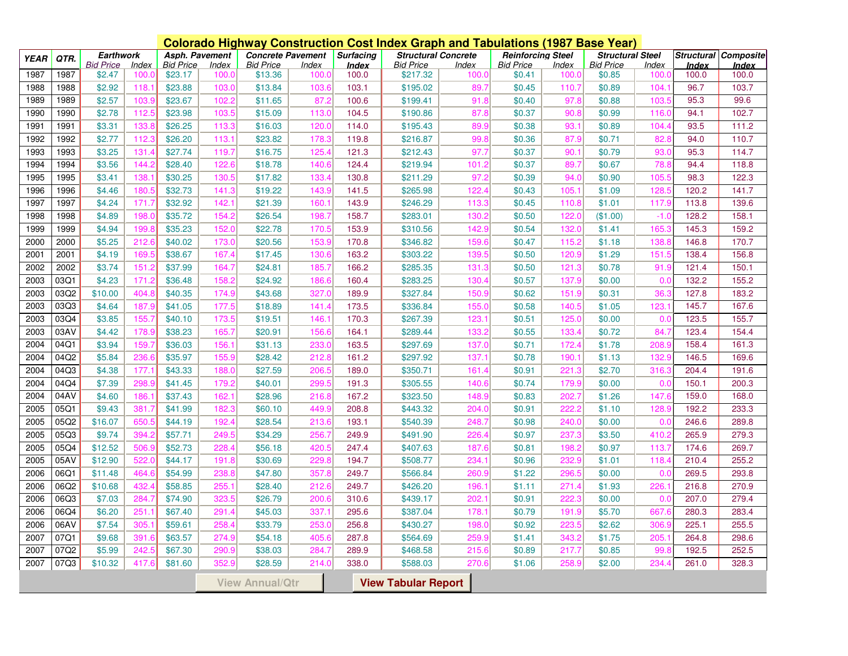|             | <b>Colorado Highway Construction Cost Index Graph and Tabulations (1987 Base Year)</b> |                  |              |                  |                |                          |       |                  |                            |              |                          |       |                         |                            |                   |              |
|-------------|----------------------------------------------------------------------------------------|------------------|--------------|------------------|----------------|--------------------------|-------|------------------|----------------------------|--------------|--------------------------|-------|-------------------------|----------------------------|-------------------|--------------|
| <b>YEAR</b> | QTR.                                                                                   | <b>Earthwork</b> |              |                  | Asph. Pavement | <b>Concrete Pavement</b> |       | <b>Surfacing</b> | <b>Structural Concrete</b> |              | <b>Reinforcing Steel</b> |       | <b>Structural Steel</b> |                            | <b>Structural</b> | Composite    |
|             |                                                                                        | <b>Bid Price</b> | <b>Index</b> | <b>Bid Price</b> | Index          | <b>Bid Price</b>         | Index | Index            | <b>Bid Price</b>           | <b>Index</b> | <b>Bid Price</b>         | Index | <b>Bid Price</b>        | <i><u><b>Index</b></u></i> | Index             | <b>Index</b> |
| 1987        | 1987                                                                                   | \$2.47           | 100.0        | \$23.17          | 100.0          | \$13.36                  | 100.0 | 100.0            | \$217.32                   | 100.0        | \$0.41                   | 100.0 | \$0.85                  | 100.                       | 100.0             | 100.0        |
| 1988        | 1988                                                                                   | \$2.92           | 118.         | \$23.88          | 103.0          | \$13.84                  | 103.6 | 103.1            | \$195.02                   | 89.7         | \$0.45                   | 110.7 | \$0.89                  | 104.1                      | 96.7              | 103.7        |
| 1989        | 1989                                                                                   | \$2.57           | 103.9        | \$23.67          | 102.2          | \$11.65                  | 87.2  | 100.6            | \$199.41                   | 91.8         | \$0.40                   | 97.8  | \$0.88                  | 103.5                      | 95.3              | 99.6         |
| 1990        | 1990                                                                                   | \$2.78           | 112.5        | \$23.98          | 103.5          | \$15.09                  | 113.0 | 104.5            | \$190.86                   | 87.8         | \$0.37                   | 90.8  | \$0.99                  | 116.0                      | 94.1              | 102.7        |
| 1991        | 1991                                                                                   | \$3.31           | 133.8        | \$26.25          | 113.3          | \$16.03                  | 120.0 | 114.0            | \$195.43                   | 89.9         | \$0.38                   | 93.7  | \$0.89                  | 104.4                      | 93.5              | 111.2        |
| 1992        | 1992                                                                                   | \$2.77           | 112.3        | \$26.20          | 113.7          | \$23.82                  | 178.3 | 119.8            | \$216.87                   | 99.8         | \$0.36                   | 87.9  | \$0.71                  | 82.8                       | 94.0              | 110.7        |
| 1993        | 1993                                                                                   | \$3.25           | 131.4        | \$27.74          | 119.7          | \$16.75                  | 125.4 | 121.3            | \$212.43                   | 97.7         | \$0.37                   | 90.7  | \$0.79                  | 93.0                       | 95.3              | 114.7        |
| 1994        | 1994                                                                                   | \$3.56           | 144.2        | \$28.40          | 122.6          | \$18.78                  | 140.6 | 124.4            | \$219.94                   | 101.2        | \$0.37                   | 89.7  | \$0.67                  | 78.8                       | 94.4              | 118.8        |
| 1995        | 1995                                                                                   | \$3.41           | 138.         | \$30.25          | 130.5          | \$17.82                  | 133.4 | 130.8            | \$211.29                   | 97.2         | \$0.39                   | 94.0  | \$0.90                  | 105.                       | 98.3              | 122.3        |
| 1996        | 1996                                                                                   | \$4.46           | 180.         | \$32.73          | 141.3          | \$19.22                  | 143.9 | 141.5            | \$265.98                   | 122.4        | \$0.43                   | 105.1 | \$1.09                  | 128.                       | 120.2             | 141.7        |
| 1997        | 1997                                                                                   | \$4.24           | 171.7        | \$32.92          | 142.7          | \$21.39                  | 160.1 | 143.9            | \$246.29                   | 113.3        | \$0.45                   | 110.8 | \$1.01                  | 117.9                      | 113.8             | 139.6        |
| 1998        | 1998                                                                                   | \$4.89           | 198.0        | \$35.72          | 154.2          | \$26.54                  | 198.7 | 158.7            | \$283.01                   | 130.2        | \$0.50                   | 122.0 | (\$1.00)                | $-1.0$                     | 128.2             | 158.1        |
| 1999        | 1999                                                                                   | \$4.94           | 199.8        | \$35.23          | 152.0          | \$22.78                  | 170.5 | 153.9            | \$310.56                   | 142.9        | \$0.54                   | 132.0 | \$1.41                  | 165.                       | 145.3             | 159.2        |
| 2000        | 2000                                                                                   | \$5.25           | 212.6        | \$40.02          | 173.0          | \$20.56                  | 153.9 | 170.8            | \$346.82                   | 159.6        | \$0.47                   | 115.2 | \$1.18                  | 138.8                      | 146.8             | 170.7        |
| 2001        | 2001                                                                                   | \$4.19           | 169.         | \$38.67          | 167.4          | \$17.45                  | 130.6 | 163.2            | \$303.22                   | 139.5        | \$0.50                   | 120.9 | \$1.29                  | 151.                       | 138.4             | 156.8        |
| 2002        | 2002                                                                                   | \$3.74           | 151.2        | \$37.99          | 164.7          | \$24.81                  | 185.7 | 166.2            | \$285.35                   | 131.3        | \$0.50                   | 121.3 | \$0.78                  | 91.9                       | 121.4             | 150.1        |
| 2003        | 03Q1                                                                                   | \$4.23           | 171.2        | \$36.48          | 158.2          | \$24.92                  | 186.6 | 160.4            | \$283.25                   | 130.4        | \$0.57                   | 137.9 | \$0.00                  | 0.0                        | 132.2             | 155.2        |
| 2003        | 03Q2                                                                                   | \$10.00          | 404.8        | \$40.35          | 174.9          | \$43.68                  | 327.0 | 189.9            | \$327.84                   | 150.9        | \$0.62                   | 151.9 | \$0.31                  | 36.3                       | 127.8             | 183.2        |
| 2003        | 03Q3                                                                                   | \$4.64           | 187.9        | \$41.05          | 177.5          | \$18.89                  | 141.4 | 173.5            | \$336.84                   | 155.0        | \$0.58                   | 140.5 | \$1.05                  | 123.1                      | 145.7             | 167.6        |
| 2003        | 03Q4                                                                                   | \$3.85           | 155.         | \$40.10          | 173.5          | \$19.51                  | 146.1 | 170.3            | \$267.39                   | 123.7        | \$0.51                   | 125.0 | \$0.00                  | 0.0                        | 123.5             | 155.7        |
| 2003        | 03AV                                                                                   | \$4.42           | 178.         | \$38.23          | 165.           | \$20.91                  | 156.6 | 164.1            | \$289.44                   | 133.2        | \$0.55                   | 133.4 | \$0.72                  | 84.7                       | 123.4             | 154.4        |
| 2004        | 04Q1                                                                                   | \$3.94           | 159.         | \$36.03          | 156.           | \$31.13                  | 233.0 | 163.5            | \$297.69                   | 137.0        | \$0.71                   | 172.4 | \$1.78                  | 208.9                      | 158.4             | 161.3        |
| 2004        | 04Q2                                                                                   | \$5.84           | 236.6        | \$35.97          | 155.9          | \$28.42                  | 212.8 | 161.2            | \$297.92                   | 137.1        | \$0.78                   | 190.7 | \$1.13                  | 132.9                      | 146.5             | 169.6        |
| 2004        | 04Q3                                                                                   | \$4.38           | 177.         | \$43.33          | 188.0          | \$27.59                  | 206.5 | 189.0            | \$350.71                   | 161.4        | \$0.91                   | 221.3 | \$2.70                  | 316.                       | 204.4             | 191.6        |
| 2004        | 04Q4                                                                                   | \$7.39           | 298.         | \$41.45          | 179.2          | \$40.01                  | 299.5 | 191.3            | \$305.55                   | 140.6        | \$0.74                   | 179.9 | \$0.00                  | 0.0                        | 150.1             | 200.3        |
| 2004        | 04AV                                                                                   | \$4.60           | 186.         | \$37.43          | 162.           | \$28.96                  | 216.8 | 167.2            | \$323.50                   | 148.9        | \$0.83                   | 202.7 | \$1.26                  | 147.6                      | 159.0             | 168.0        |
| 2005        | 05Q1                                                                                   | \$9.43           | 381.7        | \$41.99          | 182.3          | \$60.10                  | 449.9 | 208.8            | \$443.32                   | 204.0        | \$0.91                   | 222.  | \$1.10                  | 128.9                      | 192.2             | 233.3        |
| 2005        | 05Q2                                                                                   | \$16.07          | 650.         | \$44.19          | 192.4          | \$28.54                  | 213.6 | 193.1            | \$540.39                   | 248.7        | \$0.98                   | 240.0 | \$0.00                  | 0.0                        | 246.6             | 289.8        |
| 2005        | 05Q3                                                                                   | \$9.74           | 394.         | \$57.71          | 249.5          | \$34.29                  | 256.7 | 249.9            | \$491.90                   | 226.4        | \$0.97                   | 237.3 | \$3.50                  | 410.2                      | 265.9             | 279.3        |
| 2005        | 05Q4                                                                                   | \$12.52          | 506.9        | \$52.73          | 228.4          | \$56.18                  | 420.5 | 247.4            | \$407.63                   | 187.6        | \$0.81                   | 198.2 | \$0.97                  | 113.7                      | 174.6             | 269.7        |
| 2005        | 05AV                                                                                   | \$12.90          | 522.0        | \$44.17          | 191.8          | \$30.69                  | 229.8 | 194.7            | \$508.77                   | 234.1        | \$0.96                   | 232.9 | \$1.01                  | 118.4                      | 210.4             | 255.2        |
| 2006        | 06Q1                                                                                   | \$11.48          | 464.6        | \$54.99          | 238.8          | \$47.80                  | 357.8 | 249.7            | \$566.84                   | 260.9        | \$1.22                   | 296.5 | \$0.00                  | 0.0                        | 269.5             | 293.8        |
| 2006        | 06Q2                                                                                   | \$10.68          | 432.         | \$58.85          | 255.           | \$28.40                  | 212.6 | 249.7            | \$426.20                   | 196.1        | \$1.11                   | 271.4 | \$1.93                  | 226.7                      | 216.8             | 270.9        |
| 2006        | 06Q3                                                                                   | \$7.03           | 284.         | \$74.90          | 323.5          | \$26.79                  | 200.6 | 310.6            | \$439.17                   | 202.7        | \$0.91                   | 222.3 | \$0.00                  | 0.0                        | 207.0             | 279.4        |
| 2006        | 06Q4                                                                                   | \$6.20           | 251.         | \$67.40          | 291.4          | \$45.03                  | 337.1 | 295.6            | \$387.04                   | 178.7        | \$0.79                   | 191.9 | \$5.70                  | 667.                       | 280.3             | 283.4        |
| 2006        | 06AV                                                                                   | \$7.54           | 305.         | \$59.61          | 258.4          | \$33.79                  | 253.0 | 256.8            | \$430.27                   | 198.0        | \$0.92                   | 223.5 | \$2.62                  | 306.9                      | 225.1             | 255.5        |
| 2007        | 07Q1                                                                                   | \$9.68           | 391.6        | \$63.57          | 274.9          | \$54.18                  | 405.6 | 287.8            | \$564.69                   | 259.9        | \$1.41                   | 343.2 | \$1.75                  | 205.7                      | 264.8             | 298.6        |
| 2007        | 07Q2                                                                                   | \$5.99           | 242.5        | \$67.30          | 290.9          | \$38.03                  | 284.7 | 289.9            | \$468.58                   | 215.6        | \$0.89                   | 217.7 | \$0.85                  | 99.8                       | 192.5             | 252.5        |
| 2007        | 07Q3                                                                                   | \$10.32          | 417.6        | \$81.60          | 352.9          | \$28.59                  | 214.0 | 338.0            | \$588.03                   | 270.6        | \$1.06                   | 258.9 | \$2.00                  | 234.                       | 261.0             | 328.3        |
|             |                                                                                        |                  |              |                  |                |                          |       |                  |                            |              |                          |       |                         |                            |                   |              |
|             | <b>View Tabular Report</b><br><b>View Annual/Qtr</b>                                   |                  |              |                  |                |                          |       |                  |                            |              |                          |       |                         |                            |                   |              |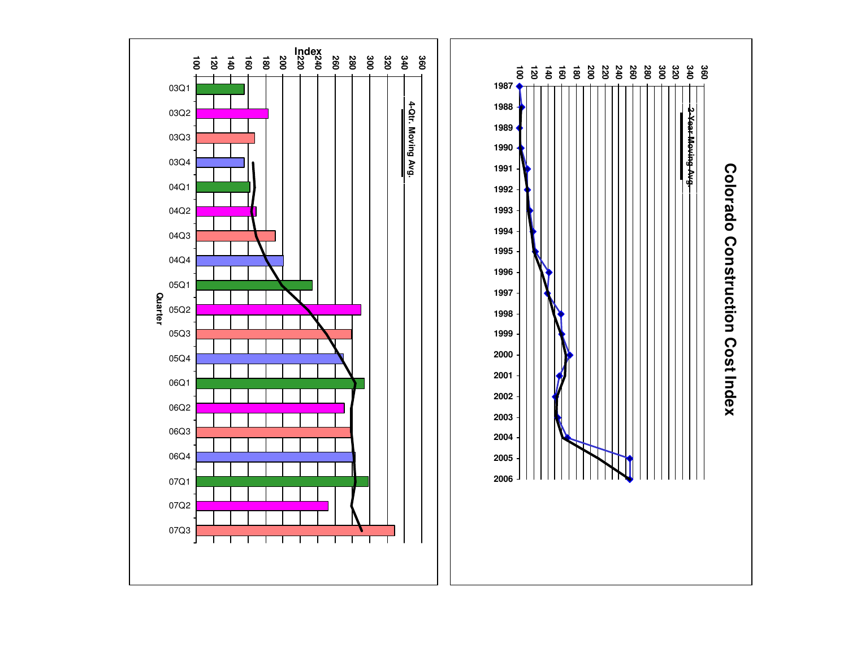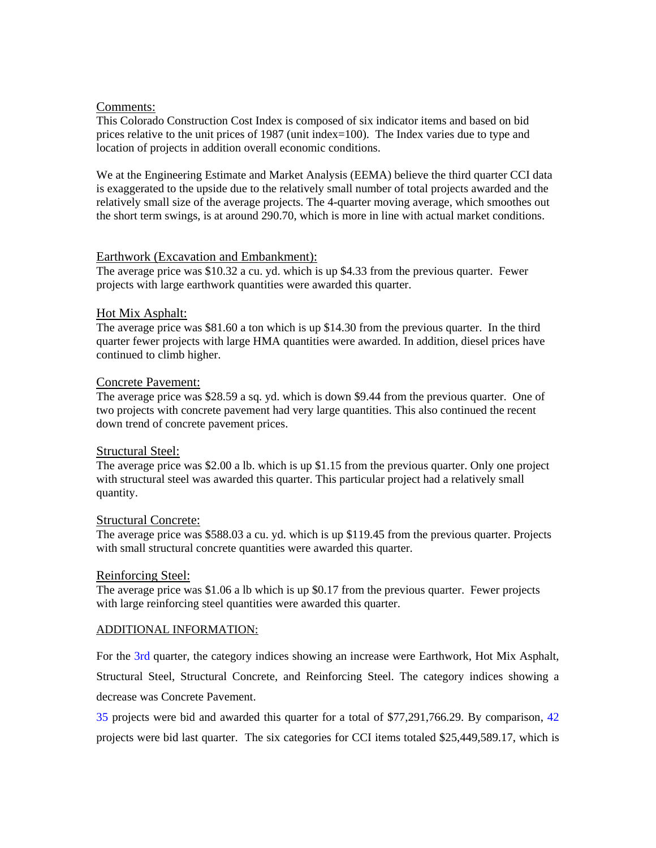#### Comments:

This Colorado Construction Cost Index is composed of six indicator items and based on bid prices relative to the unit prices of 1987 (unit index=100). The Index varies due to type and location of projects in addition overall economic conditions.

We at the Engineering Estimate and Market Analysis (EEMA) believe the third quarter CCI data is exaggerated to the upside due to the relatively small number of total projects awarded and the relatively small size of the average projects. The 4-quarter moving average, which smoothes out the short term swings, is at around 290.70, which is more in line with actual market conditions.

#### Earthwork (Excavation and Embankment):

The average price was \$10.32 a cu. yd. which is up \$4.33 from the previous quarter. Fewer projects with large earthwork quantities were awarded this quarter.

#### Hot Mix Asphalt:

The average price was \$81.60 a ton which is up \$14.30 from the previous quarter. In the third quarter fewer projects with large HMA quantities were awarded. In addition, diesel prices have continued to climb higher.

#### Concrete Pavement:

The average price was \$28.59 a sq. yd. which is down \$9.44 from the previous quarter. One of two projects with concrete pavement had very large quantities. This also continued the recent down trend of concrete pavement prices.

#### Structural Steel:

The average price was \$2.00 a lb. which is up \$1.15 from the previous quarter. Only one project with structural steel was awarded this quarter. This particular project had a relatively small quantity.

#### Structural Concrete:

The average price was \$588.03 a cu. yd. which is up \$119.45 from the previous quarter. Projects with small structural concrete quantities were awarded this quarter.

#### Reinforcing Steel:

The average price was \$1.06 a lb which is up \$0.17 from the previous quarter. Fewer projects with large reinforcing steel quantities were awarded this quarter.

#### ADDITIONAL INFORMATION:

For the 3rd quarter, the category indices showing an increase were Earthwork, Hot Mix Asphalt, Structural Steel, Structural Concrete, and Reinforcing Steel. The category indices showing a decrease was Concrete Pavement.

35 projects were bid and awarded this quarter for a total of \$77,291,766.29. By comparison, 42 projects were bid last quarter. The six categories for CCI items totaled \$25,449,589.17, which is